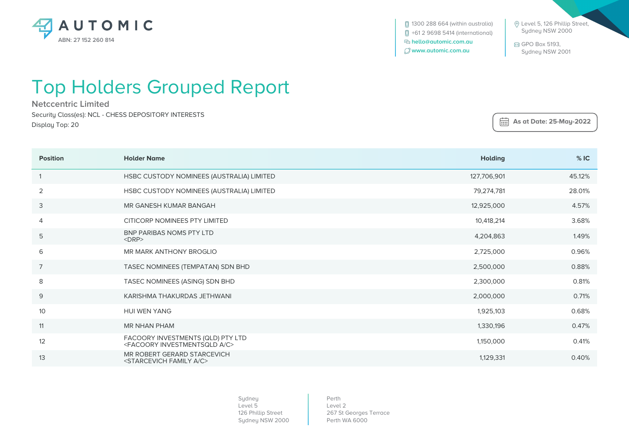

**[**] 1300 288 664 (within australia) +61 2 9698 5414 (international)  **hello@automic.com.au www.automic.com.au**

 Level 5, 126 Phillip Street, Sydney NSW 2000

 GPO Box 5193, Sydney NSW 2001

## Top Holders Grouped Report

**Netccentric Limited** Security Class(es): NCL - CHESS DEPOSITORY INTERESTS Display Top: 20

 **As at Date: 25-May-2022**

| <b>Position</b> | <b>Holder Name</b>                                                                   | <b>Holding</b> | %IC    |
|-----------------|--------------------------------------------------------------------------------------|----------------|--------|
|                 | HSBC CUSTODY NOMINEES (AUSTRALIA) LIMITED                                            | 127,706,901    | 45.12% |
| 2               | HSBC CUSTODY NOMINEES (AUSTRALIA) LIMITED                                            | 79,274,781     | 28.01% |
| 3               | MR GANESH KUMAR BANGAH                                                               | 12,925,000     | 4.57%  |
| 4               | CITICORP NOMINEES PTY LIMITED                                                        | 10,418,214     | 3.68%  |
| 5               | BNP PARIBAS NOMS PTY LTD<br>$<$ DRP $>$                                              | 4,204,863      | 1.49%  |
| 6               | MR MARK ANTHONY BROGLIO                                                              | 2,725,000      | 0.96%  |
| $\overline{7}$  | TASEC NOMINEES (TEMPATAN) SDN BHD                                                    | 2,500,000      | 0.88%  |
| 8               | TASEC NOMINEES (ASING) SDN BHD                                                       | 2,300,000      | 0.81%  |
| 9               | KARISHMA THAKURDAS JETHWANI                                                          | 2,000,000      | 0.71%  |
| 10              | <b>HUI WEN YANG</b>                                                                  | 1,925,103      | 0.68%  |
| 11              | <b>MR NHAN PHAM</b>                                                                  | 1,330,196      | 0.47%  |
| 12              | FACOORY INVESTMENTS (QLD) PTY LTD<br><facoory a="" c="" investmentsqld=""></facoory> | 1,150,000      | 0.41%  |
| 13              | MR ROBERT GERARD STARCEVICH<br><starcevich a="" c="" family=""></starcevich>         | 1,129,331      | 0.40%  |